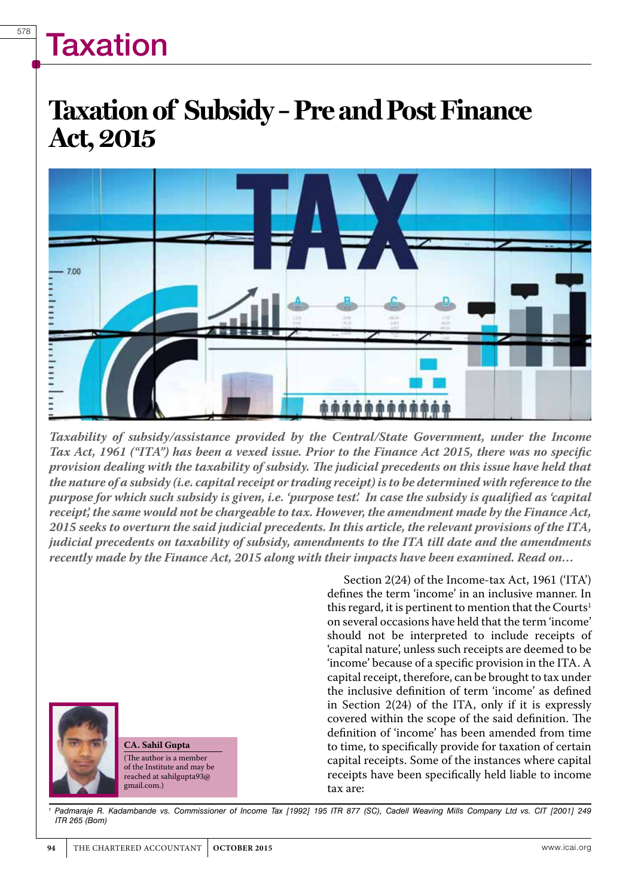### **Taxation of Subsidy – Pre and Post Finance Act, 2015**



*Taxability of subsidy/assistance provided by the Central/State Government, under the Income Tax Act, 1961 ("ITA") has been a vexed issue. Prior to the Finance Act 2015, there was no specific provision dealing with the taxability of subsidy. The judicial precedents on this issue have held that the nature of a subsidy (i.e. capital receipt or trading receipt) is to be determined with reference to the purpose for which such subsidy is given, i.e. 'purpose test'. In case the subsidy is qualified as 'capital receipt', the same would not be chargeable to tax. However, the amendment made by the Finance Act, 2015 seeks to overturn the said judicial precedents. In this article, the relevant provisions of the ITA, judicial precedents on taxability of subsidy, amendments to the ITA till date and the amendments recently made by the Finance Act, 2015 along with their impacts have been examined. Read on…* 



**CA. Sahil Gupta** (The author is a member of the Institute and may be reached at sahilgupta93@ gmail.com.)

Section 2(24) of the Income-tax Act, 1961 ('ITA') defines the term 'income' in an inclusive manner. In this regard, it is pertinent to mention that the Courts<sup>1</sup> on several occasions have held that the term 'income' should not be interpreted to include receipts of 'capital nature', unless such receipts are deemed to be 'income' because of a specific provision in the ITA. A capital receipt, therefore, can be brought to tax under the inclusive definition of term 'income' as defined in Section 2(24) of the ITA, only if it is expressly covered within the scope of the said definition. The definition of 'income' has been amended from time to time, to specifically provide for taxation of certain capital receipts. Some of the instances where capital receipts have been specifically held liable to income tax are:

*1 Padmaraje R. Kadambande vs. Commissioner of Income Tax [1992] 195 ITR 877 (SC), Cadell Weaving Mills Company Ltd vs. CIT [2001] 249 ITR 265 (Bom)*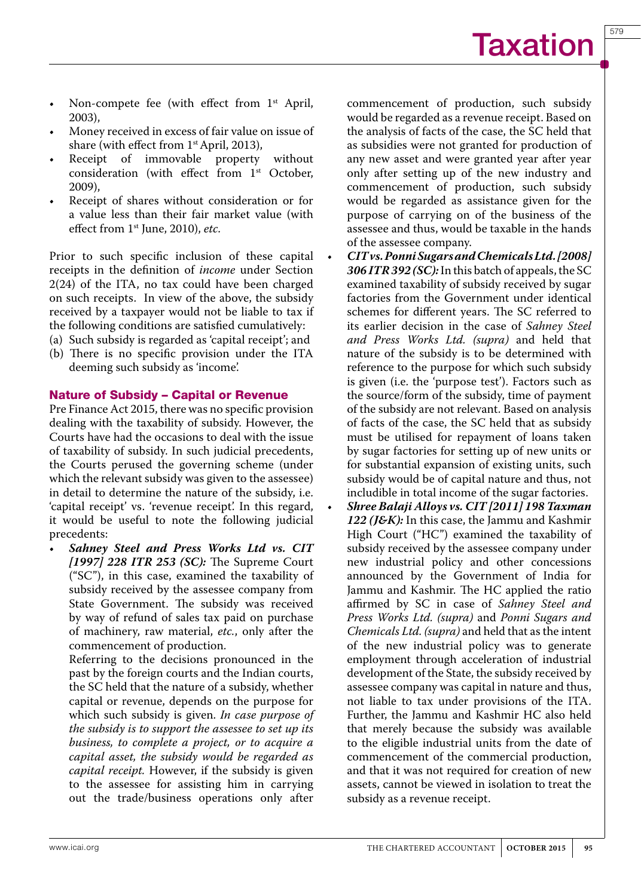579

- Non-compete fee (with effect from  $1<sup>st</sup>$  April, 2003),
- Money received in excess of fair value on issue of share (with effect from 1<sup>st</sup> April, 2013),
- Receipt of immovable property without consideration (with effect from 1<sup>st</sup> October, 2009),
- Receipt of shares without consideration or for a value less than their fair market value (with effect from 1st June, 2010), *etc*.

Prior to such specific inclusion of these capital receipts in the definition of *income* under Section 2(24) of the ITA, no tax could have been charged on such receipts. In view of the above, the subsidy received by a taxpayer would not be liable to tax if the following conditions are satisfied cumulatively:

- (a) Such subsidy is regarded as 'capital receipt'; and
- (b) There is no specific provision under the ITA deeming such subsidy as 'income'.

#### Nature of Subsidy – Capital or Revenue

Pre Finance Act 2015, there was no specific provision dealing with the taxability of subsidy. However, the Courts have had the occasions to deal with the issue of taxability of subsidy. In such judicial precedents, the Courts perused the governing scheme (under which the relevant subsidy was given to the assessee) in detail to determine the nature of the subsidy, i.e. 'capital receipt' vs. 'revenue receipt'. In this regard, it would be useful to note the following judicial precedents:

Sahney Steel and Press Works Ltd vs. CIT *[1997] 228 ITR 253 (SC):* The Supreme Court ("SC"), in this case, examined the taxability of subsidy received by the assessee company from State Government. The subsidy was received by way of refund of sales tax paid on purchase of machinery, raw material, *etc.*, only after the commencement of production.

 Referring to the decisions pronounced in the past by the foreign courts and the Indian courts, the SC held that the nature of a subsidy, whether capital or revenue, depends on the purpose for which such subsidy is given. *In case purpose of the subsidy is to support the assessee to set up its business, to complete a project, or to acquire a capital asset, the subsidy would be regarded as capital receipt.* However, if the subsidy is given to the assessee for assisting him in carrying out the trade/business operations only after

commencement of production, such subsidy would be regarded as a revenue receipt. Based on the analysis of facts of the case, the SC held that as subsidies were not granted for production of any new asset and were granted year after year only after setting up of the new industry and commencement of production, such subsidy would be regarded as assistance given for the purpose of carrying on of the business of the assessee and thus, would be taxable in the hands of the assessee company.

- • *CIT vs. Ponni Sugars and Chemicals Ltd. [2008] 306 ITR 392 (SC):* In this batch of appeals, the SC examined taxability of subsidy received by sugar factories from the Government under identical schemes for different years. The SC referred to its earlier decision in the case of *Sahney Steel and Press Works Ltd. (supra)* and held that nature of the subsidy is to be determined with reference to the purpose for which such subsidy is given (i.e. the 'purpose test'). Factors such as the source/form of the subsidy, time of payment of the subsidy are not relevant. Based on analysis of facts of the case, the SC held that as subsidy must be utilised for repayment of loans taken by sugar factories for setting up of new units or for substantial expansion of existing units, such subsidy would be of capital nature and thus, not includible in total income of the sugar factories.
- Shree Balaji Alloys vs. CIT [2011] 198 Taxman *122 (J&K):* In this case, the Jammu and Kashmir High Court ("HC") examined the taxability of subsidy received by the assessee company under new industrial policy and other concessions announced by the Government of India for Jammu and Kashmir. The HC applied the ratio affirmed by SC in case of *Sahney Steel and Press Works Ltd. (supra)* and *Ponni Sugars and Chemicals Ltd. (supra)* and held that as the intent of the new industrial policy was to generate employment through acceleration of industrial development of the State, the subsidy received by assessee company was capital in nature and thus, not liable to tax under provisions of the ITA. Further, the Jammu and Kashmir HC also held that merely because the subsidy was available to the eligible industrial units from the date of commencement of the commercial production, and that it was not required for creation of new assets, cannot be viewed in isolation to treat the subsidy as a revenue receipt.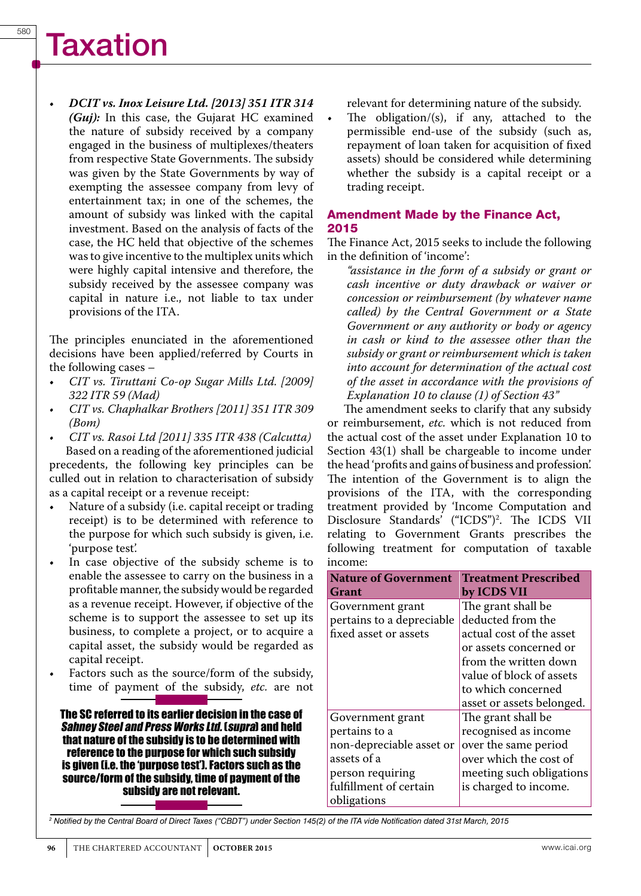• *DCIT vs. Inox Leisure Ltd. [2013] 351 ITR 314 (Guj):* In this case, the Gujarat HC examined the nature of subsidy received by a company engaged in the business of multiplexes/theaters from respective State Governments. The subsidy was given by the State Governments by way of exempting the assessee company from levy of entertainment tax; in one of the schemes, the amount of subsidy was linked with the capital investment. Based on the analysis of facts of the case, the HC held that objective of the schemes was to give incentive to the multiplex units which were highly capital intensive and therefore, the subsidy received by the assessee company was capital in nature i.e., not liable to tax under provisions of the ITA.

The principles enunciated in the aforementioned decisions have been applied/referred by Courts in the following cases –

- • *CIT vs. Tiruttani Co-op Sugar Mills Ltd. [2009] 322 ITR 59 (Mad)*
- *• CIT vs. Chaphalkar Brothers [2011] 351 ITR 309 (Bom)*
- *• CIT vs. Rasoi Ltd [2011] 335 ITR 438 (Calcutta)* Based on a reading of the aforementioned judicial precedents, the following key principles can be culled out in relation to characterisation of subsidy as a capital receipt or a revenue receipt:
- Nature of a subsidy (i.e. capital receipt or trading receipt) is to be determined with reference to the purpose for which such subsidy is given, i.e. 'purpose test'.
- In case objective of the subsidy scheme is to enable the assessee to carry on the business in a profitable manner, the subsidy would be regarded as a revenue receipt. However, if objective of the scheme is to support the assessee to set up its business, to complete a project, or to acquire a capital asset, the subsidy would be regarded as capital receipt.
- Factors such as the source/form of the subsidy, time of payment of the subsidy, *etc.* are not

The SC referred to its earlier decision in the case of Sahney Steel and Press Works Ltd. (supra) and held that nature of the subsidy is to be determined with reference to the purpose for which such subsidy is given (i.e. the 'purpose test'). Factors such as the source/form of the subsidy, time of payment of the subsidy are not relevant.

relevant for determining nature of the subsidy.

The obligation/ $(s)$ , if any, attached to the permissible end-use of the subsidy (such as, repayment of loan taken for acquisition of fixed assets) should be considered while determining whether the subsidy is a capital receipt or a trading receipt.

#### Amendment Made by the Finance Act, 2015

The Finance Act, 2015 seeks to include the following in the definition of 'income':

*"assistance in the form of a subsidy or grant or cash incentive or duty drawback or waiver or concession or reimbursement (by whatever name called) by the Central Government or a State Government or any authority or body or agency in cash or kind to the assessee other than the subsidy or grant or reimbursement which is taken into account for determination of the actual cost of the asset in accordance with the provisions of Explanation 10 to clause (1) of Section 43"*

The amendment seeks to clarify that any subsidy or reimbursement, *etc.* which is not reduced from the actual cost of the asset under Explanation 10 to Section 43(1) shall be chargeable to income under the head 'profits and gains of business and profession'. The intention of the Government is to align the provisions of the ITA, with the corresponding treatment provided by 'Income Computation and Disclosure Standards' ("ICDS")<sup>2</sup>. The ICDS VII relating to Government Grants prescribes the following treatment for computation of taxable income:

| <b>Nature of Government</b> | <b>Treatment Prescribed</b> |
|-----------------------------|-----------------------------|
| Grant                       | by ICDS VII                 |
| Government grant            | The grant shall be          |
| pertains to a depreciable   | deducted from the           |
| fixed asset or assets       | actual cost of the asset    |
|                             | or assets concerned or      |
|                             | from the written down       |
|                             | value of block of assets    |
|                             | to which concerned          |
|                             | asset or assets belonged.   |
| Government grant            | The grant shall be          |
| pertains to a               | recognised as income        |
| non-depreciable asset or    | over the same period        |
| assets of a                 | over which the cost of      |
| person requiring            | meeting such obligations    |
| fulfillment of certain      | is charged to income.       |
| obligations                 |                             |

*2 Notified by the Central Board of Direct Taxes ("CBDT") under Section 145(2) of the ITA vide Notification dated 31st March, 2015*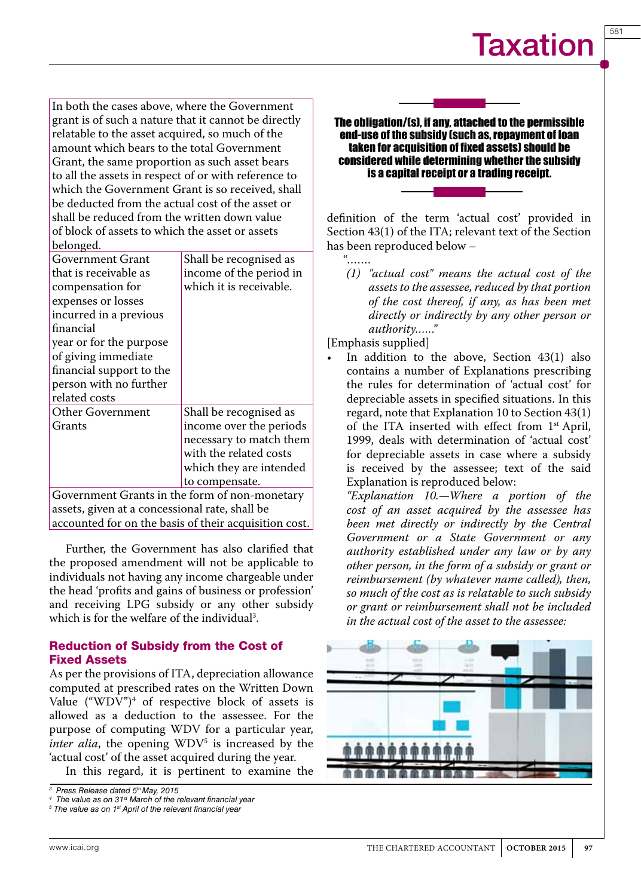581

In both the cases above, where the Government grant is of such a nature that it cannot be directly relatable to the asset acquired, so much of the amount which bears to the total Government Grant, the same proportion as such asset bears to all the assets in respect of or with reference to which the Government Grant is so received, shall be deducted from the actual cost of the asset or shall be reduced from the written down value of block of assets to which the asset or assets belonged.

| Government Grant                              | Shall be recognised as  |
|-----------------------------------------------|-------------------------|
| that is receivable as                         | income of the period in |
| compensation for                              | which it is receivable. |
| expenses or losses                            |                         |
| incurred in a previous                        |                         |
| financial                                     |                         |
| year or for the purpose                       |                         |
| of giving immediate                           |                         |
| financial support to the                      |                         |
| person with no further                        |                         |
| related costs                                 |                         |
| <b>Other Government</b>                       | Shall be recognised as  |
| Grants                                        | income over the periods |
|                                               | necessary to match them |
|                                               | with the related costs  |
|                                               | which they are intended |
|                                               | to compensate.          |
| Covernment Create in the form of non-monetary |                         |

Government Grants in the form of non-monetary assets, given at a concessional rate, shall be accounted for on the basis of their acquisition cost.

Further, the Government has also clarified that the proposed amendment will not be applicable to individuals not having any income chargeable under the head 'profits and gains of business or profession' and receiving LPG subsidy or any other subsidy which is for the welfare of the individual<sup>3</sup>.

#### Reduction of Subsidy from the Cost of Fixed Assets

As per the provisions of ITA, depreciation allowance computed at prescribed rates on the Written Down Value  $("WDV")^4$  of respective block of assets is allowed as a deduction to the assessee. For the purpose of computing WDV for a particular year, *inter alia*, the opening WDV<sup>5</sup> is increased by the 'actual cost' of the asset acquired during the year.

In this regard, it is pertinent to examine the

#### The obligation/(s), if any, attached to the permissible end-use of the subsidy (such as, repayment of loan taken for acquisition of fixed assets) should be considered while determining whether the subsidy is a capital receipt or a trading receipt.

definition of the term 'actual cost' provided in Section 43(1) of the ITA; relevant text of the Section has been reproduced below –

"……

*(1) "actual cost" means the actual cost of the assets to the assessee, reduced by that portion of the cost thereof, if any, as has been met directly or indirectly by any other person or authority……"*

[Emphasis supplied]

In addition to the above, Section  $43(1)$  also contains a number of Explanations prescribing the rules for determination of 'actual cost' for depreciable assets in specified situations. In this regard, note that Explanation 10 to Section 43(1) of the ITA inserted with effect from 1st April, 1999, deals with determination of 'actual cost' for depreciable assets in case where a subsidy is received by the assessee; text of the said Explanation is reproduced below:

*"Explanation 10.—Where a portion of the cost of an asset acquired by the assessee has been met directly or indirectly by the Central Government or a State Government or any authority established under any law or by any other person, in the form of a subsidy or grant or reimbursement (by whatever name called), then, so much of the cost as is relatable to such subsidy or grant or reimbursement shall not be included in the actual cost of the asset to the assessee:*



*<sup>3</sup> Press Release dated 5th May, 2015*

*<sup>4</sup> The value as on 31st March of the relevant financial year*

*<sup>5</sup> The value as on 1st April of the relevant financial year*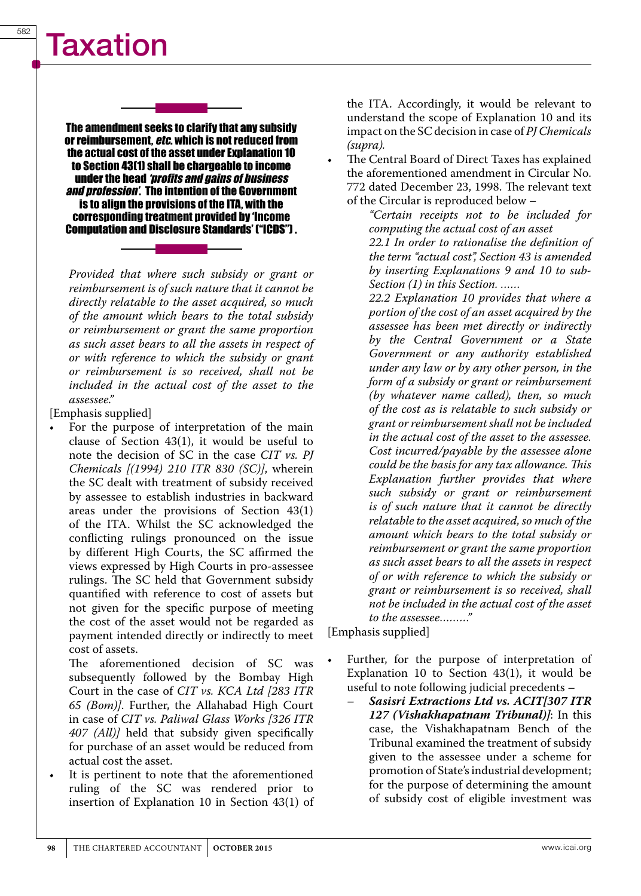The amendment seeks to clarify that any subsidy or reimbursement, *etc.* which is not reduced from the actual cost of the asset under Explanation 10 to Section 43(1) shall be chargeable to income under the head *'profits and gains of business and profession'*. The intention of the Government is to align the provisions of the ITA, with the corresponding treatment provided by 'Income Computation and Disclosure Standards' ("ICDS") .

*Provided that where such subsidy or grant or reimbursement is of such nature that it cannot be directly relatable to the asset acquired, so much of the amount which bears to the total subsidy or reimbursement or grant the same proportion as such asset bears to all the assets in respect of or with reference to which the subsidy or grant or reimbursement is so received, shall not be included in the actual cost of the asset to the assessee."*

[Emphasis supplied]

For the purpose of interpretation of the main clause of Section 43(1), it would be useful to note the decision of SC in the case *CIT vs. PJ Chemicals [(1994) 210 ITR 830 (SC)]*, wherein the SC dealt with treatment of subsidy received by assessee to establish industries in backward areas under the provisions of Section 43(1) of the ITA. Whilst the SC acknowledged the conflicting rulings pronounced on the issue by different High Courts, the SC affirmed the views expressed by High Courts in pro-assessee rulings. The SC held that Government subsidy quantified with reference to cost of assets but not given for the specific purpose of meeting the cost of the asset would not be regarded as payment intended directly or indirectly to meet cost of assets.

The aforementioned decision of SC was subsequently followed by the Bombay High Court in the case of *CIT vs. KCA Ltd [283 ITR 65 (Bom)]*. Further, the Allahabad High Court in case of *CIT vs. Paliwal Glass Works [326 ITR 407 (All)]* held that subsidy given specifically for purchase of an asset would be reduced from actual cost the asset.

It is pertinent to note that the aforementioned ruling of the SC was rendered prior to insertion of Explanation 10 in Section 43(1) of the ITA. Accordingly, it would be relevant to understand the scope of Explanation 10 and its impact on the SC decision in case of *PJ Chemicals (supra).* 

The Central Board of Direct Taxes has explained the aforementioned amendment in Circular No. 772 dated December 23, 1998. The relevant text of the Circular is reproduced below –

*"Certain receipts not to be included for computing the actual cost of an asset 22.1 In order to rationalise the definition of the term "actual cost", Section 43 is amended by inserting Explanations 9 and 10 to sub-Section (1) in this Section. ……*

 *22.2 Explanation 10 provides that where a portion of the cost of an asset acquired by the assessee has been met directly or indirectly by the Central Government or a State Government or any authority established under any law or by any other person, in the form of a subsidy or grant or reimbursement (by whatever name called), then, so much of the cost as is relatable to such subsidy or grant or reimbursement shall not be included in the actual cost of the asset to the assessee. Cost incurred/payable by the assessee alone could be the basis for any tax allowance. This Explanation further provides that where such subsidy or grant or reimbursement is of such nature that it cannot be directly relatable to the asset acquired, so much of the amount which bears to the total subsidy or reimbursement or grant the same proportion as such asset bears to all the assets in respect of or with reference to which the subsidy or grant or reimbursement is so received, shall not be included in the actual cost of the asset to the assessee………"*

[Emphasis supplied]

- Further, for the purpose of interpretation of Explanation 10 to Section 43(1), it would be useful to note following judicial precedents –
	- *Sasisri Extractions Ltd vs. ACIT[307 ITR 127 (Vishakhapatnam Tribunal)]*: In this case, the Vishakhapatnam Bench of the Tribunal examined the treatment of subsidy given to the assessee under a scheme for promotion of State's industrial development; for the purpose of determining the amount of subsidy cost of eligible investment was